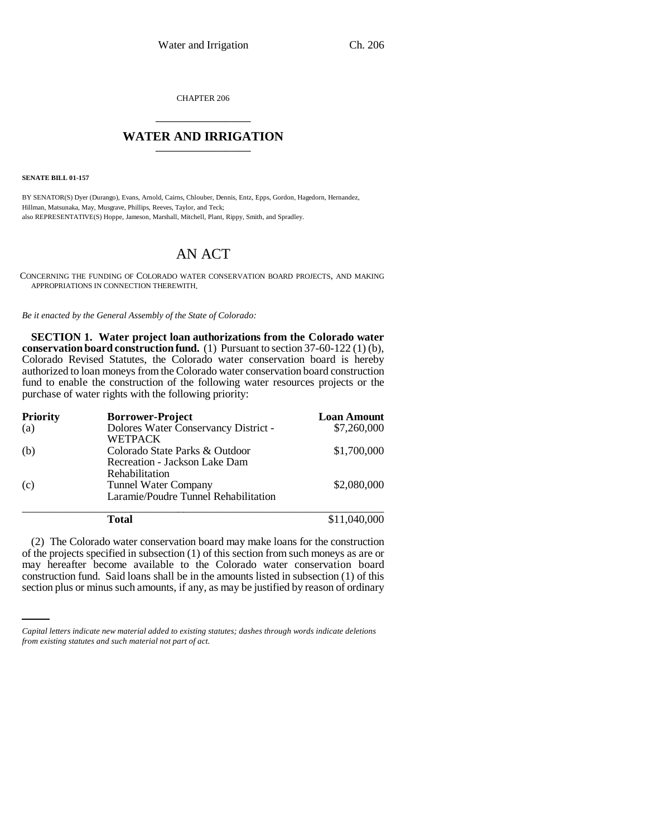CHAPTER 206 \_\_\_\_\_\_\_\_\_\_\_\_\_\_\_

## **WATER AND IRRIGATION** \_\_\_\_\_\_\_\_\_\_\_\_\_\_\_

**SENATE BILL 01-157**

BY SENATOR(S) Dyer (Durango), Evans, Arnold, Cairns, Chlouber, Dennis, Entz, Epps, Gordon, Hagedorn, Hernandez, Hillman, Matsunaka, May, Musgrave, Phillips, Reeves, Taylor, and Teck; also REPRESENTATIVE(S) Hoppe, Jameson, Marshall, Mitchell, Plant, Rippy, Smith, and Spradley.

# AN ACT

CONCERNING THE FUNDING OF COLORADO WATER CONSERVATION BOARD PROJECTS, AND MAKING APPROPRIATIONS IN CONNECTION THEREWITH.

*Be it enacted by the General Assembly of the State of Colorado:*

**SECTION 1. Water project loan authorizations from the Colorado water conservation board construction fund.** (1) Pursuant to section 37-60-122 (1) (b), Colorado Revised Statutes, the Colorado water conservation board is hereby authorized to loan moneys from the Colorado water conservation board construction fund to enable the construction of the following water resources projects or the purchase of water rights with the following priority:

| <b>Priority</b> | <b>Borrower-Project</b>              | <b>Loan Amount</b> |
|-----------------|--------------------------------------|--------------------|
| (a)             | Dolores Water Conservancy District - | \$7,260,000        |
|                 | <b>WETPACK</b>                       |                    |
| (b)             | Colorado State Parks & Outdoor       | \$1,700,000        |
|                 | Recreation - Jackson Lake Dam        |                    |
|                 | Rehabilitation                       |                    |
| (c)             | Tunnel Water Company                 | \$2,080,000        |
|                 | Laramie/Poudre Tunnel Rehabilitation |                    |
|                 | Total                                | \$11,040,000       |

may hereafter become available to the Colorado water conservation board (2) The Colorado water conservation board may make loans for the construction of the projects specified in subsection (1) of this section from such moneys as are or construction fund. Said loans shall be in the amounts listed in subsection (1) of this section plus or minus such amounts, if any, as may be justified by reason of ordinary

*Capital letters indicate new material added to existing statutes; dashes through words indicate deletions from existing statutes and such material not part of act.*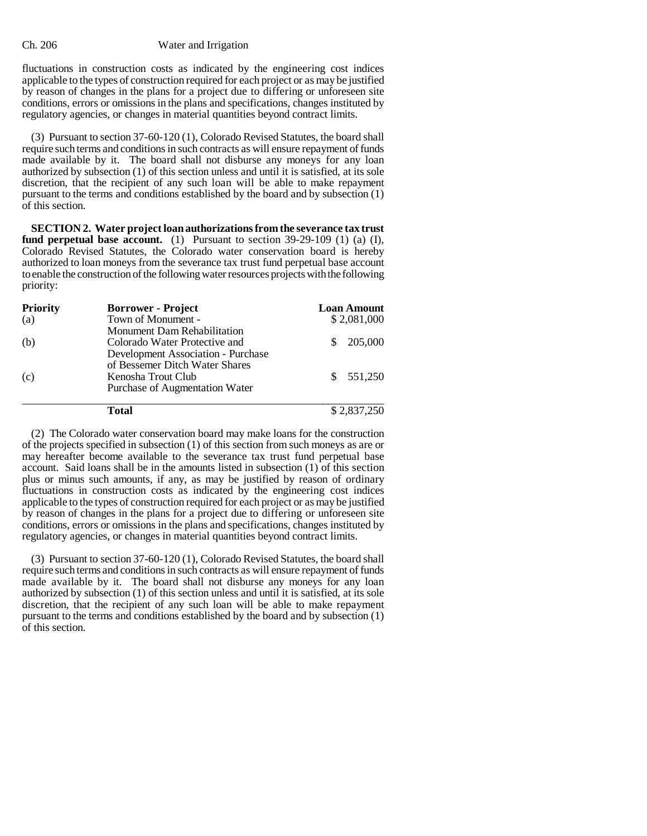fluctuations in construction costs as indicated by the engineering cost indices applicable to the types of construction required for each project or as may be justified by reason of changes in the plans for a project due to differing or unforeseen site conditions, errors or omissions in the plans and specifications, changes instituted by regulatory agencies, or changes in material quantities beyond contract limits.

(3) Pursuant to section 37-60-120 (1), Colorado Revised Statutes, the board shall require such terms and conditions in such contracts as will ensure repayment of funds made available by it. The board shall not disburse any moneys for any loan authorized by subsection (1) of this section unless and until it is satisfied, at its sole discretion, that the recipient of any such loan will be able to make repayment pursuant to the terms and conditions established by the board and by subsection (1) of this section.

**SECTION 2. Water project loan authorizations from the severance tax trust fund perpetual base account.** (1) Pursuant to section 39-29-109 (1) (a) (I), Colorado Revised Statutes, the Colorado water conservation board is hereby authorized to loan moneys from the severance tax trust fund perpetual base account to enable the construction of the following water resources projects with the following priority:

| <b>Priority</b> | <b>Borrower - Project</b>                 | <b>Loan Amount</b> |
|-----------------|-------------------------------------------|--------------------|
| (a)             | Town of Monument -                        | \$2,081,000        |
|                 | <b>Monument Dam Rehabilitation</b>        |                    |
| (b)             | Colorado Water Protective and             | 205,000            |
|                 | <b>Development Association - Purchase</b> |                    |
|                 | of Bessemer Ditch Water Shares            |                    |
| (c)             | Kenosha Trout Club                        | 551,250            |
|                 | Purchase of Augmentation Water            |                    |
|                 | Total                                     | \$2,837,250        |

(2) The Colorado water conservation board may make loans for the construction of the projects specified in subsection (1) of this section from such moneys as are or may hereafter become available to the severance tax trust fund perpetual base account. Said loans shall be in the amounts listed in subsection (1) of this section plus or minus such amounts, if any, as may be justified by reason of ordinary fluctuations in construction costs as indicated by the engineering cost indices applicable to the types of construction required for each project or as may be justified by reason of changes in the plans for a project due to differing or unforeseen site conditions, errors or omissions in the plans and specifications, changes instituted by regulatory agencies, or changes in material quantities beyond contract limits.

(3) Pursuant to section 37-60-120 (1), Colorado Revised Statutes, the board shall require such terms and conditions in such contracts as will ensure repayment of funds made available by it. The board shall not disburse any moneys for any loan authorized by subsection (1) of this section unless and until it is satisfied, at its sole discretion, that the recipient of any such loan will be able to make repayment pursuant to the terms and conditions established by the board and by subsection (1) of this section.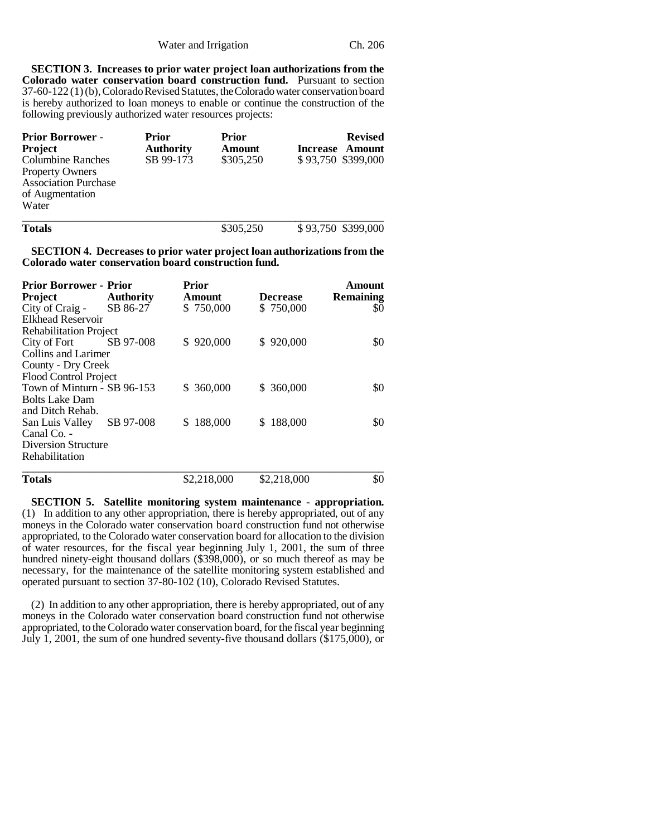**SECTION 3. Increases to prior water project loan authorizations from the Colorado water conservation board construction fund.** Pursuant to section 37-60-122 (1) (b), Colorado Revised Statutes, the Colorado water conservation board is hereby authorized to loan moneys to enable or continue the construction of the following previously authorized water resources projects:

| <b>Prior Borrower -</b><br><b>Project</b> | Prior<br><b>Authority</b> | Prior<br>Amount | <b>Revised</b><br><b>Increase Amount</b> |
|-------------------------------------------|---------------------------|-----------------|------------------------------------------|
| <b>Columbine Ranches</b>                  | SB 99-173                 | \$305,250       | \$93,750 \$399,000                       |
| <b>Property Owners</b>                    |                           |                 |                                          |
| <b>Association Purchase</b>               |                           |                 |                                          |
| of Augmentation                           |                           |                 |                                          |
| Water                                     |                           |                 |                                          |
|                                           |                           |                 |                                          |

| <b>Totals</b> | \$305,250 | \$93,750 \$399,000 |
|---------------|-----------|--------------------|
|               |           |                    |

**SECTION 4. Decreases to prior water project loan authorizations from the Colorado water conservation board construction fund.**

| <b>Prior Borrower - Prior</b> |                  | <b>Prior</b> |                 | Amount           |
|-------------------------------|------------------|--------------|-----------------|------------------|
| Project                       | <b>Authority</b> | Amount       | <b>Decrease</b> | <b>Remaining</b> |
| City of Craig -               | SB 86-27         | \$750,000    | \$750,000       | \$0              |
| Elkhead Reservoir             |                  |              |                 |                  |
| <b>Rehabilitation Project</b> |                  |              |                 |                  |
| City of Fort                  | SB 97-008        | \$920,000    | \$920,000       | \$0              |
| Collins and Larimer           |                  |              |                 |                  |
| County - Dry Creek            |                  |              |                 |                  |
| Flood Control Project         |                  |              |                 |                  |
| Town of Minturn - SB 96-153   |                  | \$ 360,000   | \$ 360,000      | \$0              |
| <b>Bolts Lake Dam</b>         |                  |              |                 |                  |
| and Ditch Rehab.              |                  |              |                 |                  |
| San Luis Valley               | SB 97-008        | \$188,000    | \$188,000       | \$0              |
| Canal Co. -                   |                  |              |                 |                  |
| <b>Diversion Structure</b>    |                  |              |                 |                  |
| Rehabilitation                |                  |              |                 |                  |
| <b>Totals</b>                 |                  | \$2,218,000  | \$2,218,000     | \$0              |

**SECTION 5. Satellite monitoring system maintenance - appropriation.** (1) In addition to any other appropriation, there is hereby appropriated, out of any moneys in the Colorado water conservation board construction fund not otherwise appropriated, to the Colorado water conservation board for allocation to the division of water resources, for the fiscal year beginning July 1, 2001, the sum of three hundred ninety-eight thousand dollars (\$398,000), or so much thereof as may be necessary, for the maintenance of the satellite monitoring system established and operated pursuant to section 37-80-102 (10), Colorado Revised Statutes.

(2) In addition to any other appropriation, there is hereby appropriated, out of any moneys in the Colorado water conservation board construction fund not otherwise appropriated, to the Colorado water conservation board, for the fiscal year beginning July 1, 2001, the sum of one hundred seventy-five thousand dollars (\$175,000), or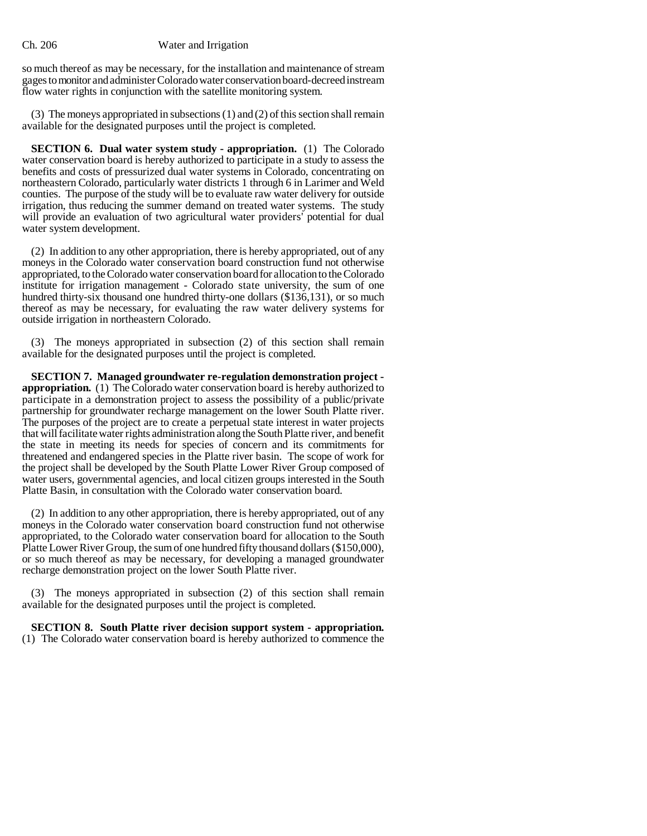so much thereof as may be necessary, for the installation and maintenance of stream gages to monitor and administer Colorado water conservation board-decreed instream flow water rights in conjunction with the satellite monitoring system.

(3) The moneys appropriated in subsections (1) and (2) of this section shall remain available for the designated purposes until the project is completed.

**SECTION 6. Dual water system study - appropriation.** (1) The Colorado water conservation board is hereby authorized to participate in a study to assess the benefits and costs of pressurized dual water systems in Colorado, concentrating on northeastern Colorado, particularly water districts 1 through 6 in Larimer and Weld counties. The purpose of the study will be to evaluate raw water delivery for outside irrigation, thus reducing the summer demand on treated water systems. The study will provide an evaluation of two agricultural water providers' potential for dual water system development.

(2) In addition to any other appropriation, there is hereby appropriated, out of any moneys in the Colorado water conservation board construction fund not otherwise appropriated, to the Colorado water conservation board for allocation to the Colorado institute for irrigation management - Colorado state university, the sum of one hundred thirty-six thousand one hundred thirty-one dollars (\$136,131), or so much thereof as may be necessary, for evaluating the raw water delivery systems for outside irrigation in northeastern Colorado.

(3) The moneys appropriated in subsection (2) of this section shall remain available for the designated purposes until the project is completed.

**SECTION 7. Managed groundwater re-regulation demonstration project appropriation.** (1) The Colorado water conservation board is hereby authorized to participate in a demonstration project to assess the possibility of a public/private partnership for groundwater recharge management on the lower South Platte river. The purposes of the project are to create a perpetual state interest in water projects that will facilitate water rights administration along the South Platte river, and benefit the state in meeting its needs for species of concern and its commitments for threatened and endangered species in the Platte river basin. The scope of work for the project shall be developed by the South Platte Lower River Group composed of water users, governmental agencies, and local citizen groups interested in the South Platte Basin, in consultation with the Colorado water conservation board.

(2) In addition to any other appropriation, there is hereby appropriated, out of any moneys in the Colorado water conservation board construction fund not otherwise appropriated, to the Colorado water conservation board for allocation to the South Platte Lower River Group, the sum of one hundred fifty thousand dollars (\$150,000), or so much thereof as may be necessary, for developing a managed groundwater recharge demonstration project on the lower South Platte river.

(3) The moneys appropriated in subsection (2) of this section shall remain available for the designated purposes until the project is completed.

**SECTION 8. South Platte river decision support system - appropriation.** (1) The Colorado water conservation board is hereby authorized to commence the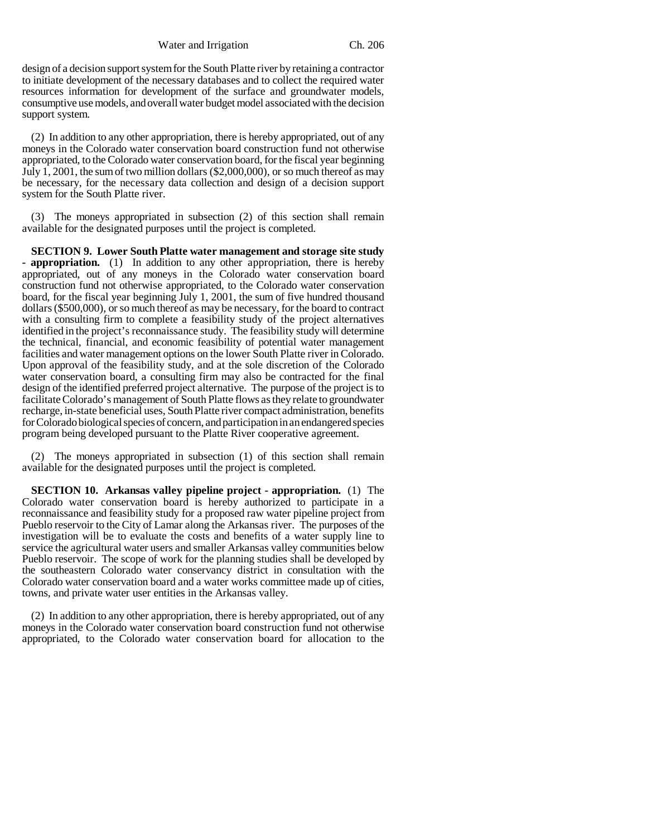Water and Irrigation Ch. 206

design of a decision support system for the South Platte river by retaining a contractor to initiate development of the necessary databases and to collect the required water resources information for development of the surface and groundwater models, consumptive use models, and overall water budget model associated with the decision support system.

(2) In addition to any other appropriation, there is hereby appropriated, out of any moneys in the Colorado water conservation board construction fund not otherwise appropriated, to the Colorado water conservation board, for the fiscal year beginning July 1, 2001, the sum of two million dollars (\$2,000,000), or so much thereof as may be necessary, for the necessary data collection and design of a decision support system for the South Platte river.

(3) The moneys appropriated in subsection (2) of this section shall remain available for the designated purposes until the project is completed.

**SECTION 9. Lower South Platte water management and storage site study - appropriation.** (1) In addition to any other appropriation, there is hereby appropriated, out of any moneys in the Colorado water conservation board construction fund not otherwise appropriated, to the Colorado water conservation board, for the fiscal year beginning July 1, 2001, the sum of five hundred thousand dollars (\$500,000), or so much thereof as may be necessary, for the board to contract with a consulting firm to complete a feasibility study of the project alternatives identified in the project's reconnaissance study. The feasibility study will determine the technical, financial, and economic feasibility of potential water management facilities and water management options on the lower South Platte river in Colorado. Upon approval of the feasibility study, and at the sole discretion of the Colorado water conservation board, a consulting firm may also be contracted for the final design of the identified preferred project alternative. The purpose of the project is to facilitate Colorado's management of South Platte flows as they relate to groundwater recharge, in-state beneficial uses, South Platte river compact administration, benefits for Colorado biological species of concern, and participation in an endangered species program being developed pursuant to the Platte River cooperative agreement.

(2) The moneys appropriated in subsection (1) of this section shall remain available for the designated purposes until the project is completed.

**SECTION 10. Arkansas valley pipeline project - appropriation.** (1) The Colorado water conservation board is hereby authorized to participate in a reconnaissance and feasibility study for a proposed raw water pipeline project from Pueblo reservoir to the City of Lamar along the Arkansas river. The purposes of the investigation will be to evaluate the costs and benefits of a water supply line to service the agricultural water users and smaller Arkansas valley communities below Pueblo reservoir. The scope of work for the planning studies shall be developed by the southeastern Colorado water conservancy district in consultation with the Colorado water conservation board and a water works committee made up of cities, towns, and private water user entities in the Arkansas valley.

(2) In addition to any other appropriation, there is hereby appropriated, out of any moneys in the Colorado water conservation board construction fund not otherwise appropriated, to the Colorado water conservation board for allocation to the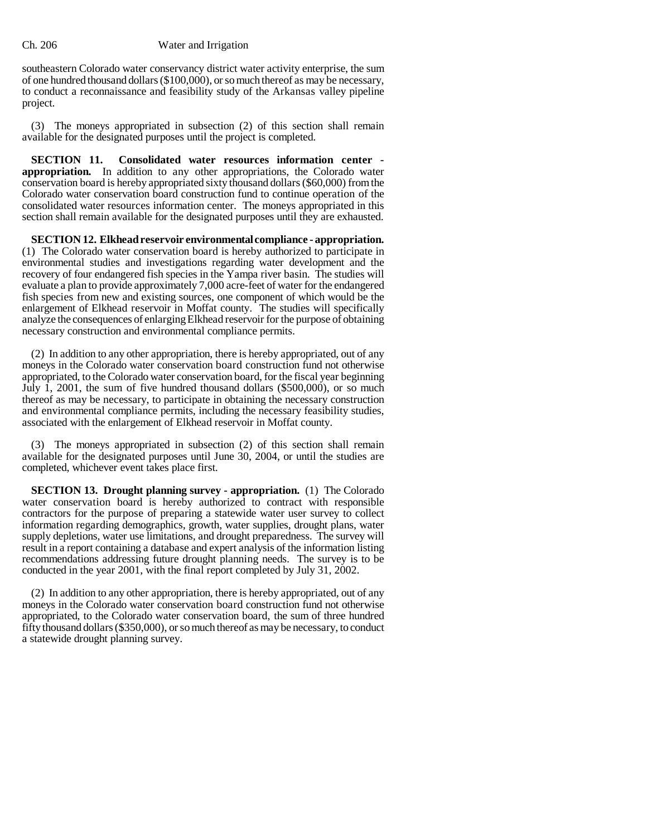southeastern Colorado water conservancy district water activity enterprise, the sum of one hundred thousand dollars (\$100,000), or so much thereof as may be necessary, to conduct a reconnaissance and feasibility study of the Arkansas valley pipeline project.

(3) The moneys appropriated in subsection (2) of this section shall remain available for the designated purposes until the project is completed.

**SECTION 11. Consolidated water resources information center appropriation.** In addition to any other appropriations, the Colorado water conservation board is hereby appropriated sixty thousand dollars (\$60,000) from the Colorado water conservation board construction fund to continue operation of the consolidated water resources information center. The moneys appropriated in this section shall remain available for the designated purposes until they are exhausted.

**SECTION 12. Elkhead reservoir environmental compliance - appropriation.** (1) The Colorado water conservation board is hereby authorized to participate in environmental studies and investigations regarding water development and the recovery of four endangered fish species in the Yampa river basin. The studies will evaluate a plan to provide approximately 7,000 acre-feet of water for the endangered fish species from new and existing sources, one component of which would be the enlargement of Elkhead reservoir in Moffat county. The studies will specifically analyze the consequences of enlarging Elkhead reservoir for the purpose of obtaining necessary construction and environmental compliance permits.

(2) In addition to any other appropriation, there is hereby appropriated, out of any moneys in the Colorado water conservation board construction fund not otherwise appropriated, to the Colorado water conservation board, for the fiscal year beginning July 1, 2001, the sum of five hundred thousand dollars (\$500,000), or so much thereof as may be necessary, to participate in obtaining the necessary construction and environmental compliance permits, including the necessary feasibility studies, associated with the enlargement of Elkhead reservoir in Moffat county.

(3) The moneys appropriated in subsection (2) of this section shall remain available for the designated purposes until June 30, 2004, or until the studies are completed, whichever event takes place first.

**SECTION 13. Drought planning survey - appropriation.** (1) The Colorado water conservation board is hereby authorized to contract with responsible contractors for the purpose of preparing a statewide water user survey to collect information regarding demographics, growth, water supplies, drought plans, water supply depletions, water use limitations, and drought preparedness. The survey will result in a report containing a database and expert analysis of the information listing recommendations addressing future drought planning needs. The survey is to be conducted in the year 2001, with the final report completed by July 31, 2002.

(2) In addition to any other appropriation, there is hereby appropriated, out of any moneys in the Colorado water conservation board construction fund not otherwise appropriated, to the Colorado water conservation board, the sum of three hundred fifty thousand dollars (\$350,000), or so much thereof as may be necessary, to conduct a statewide drought planning survey.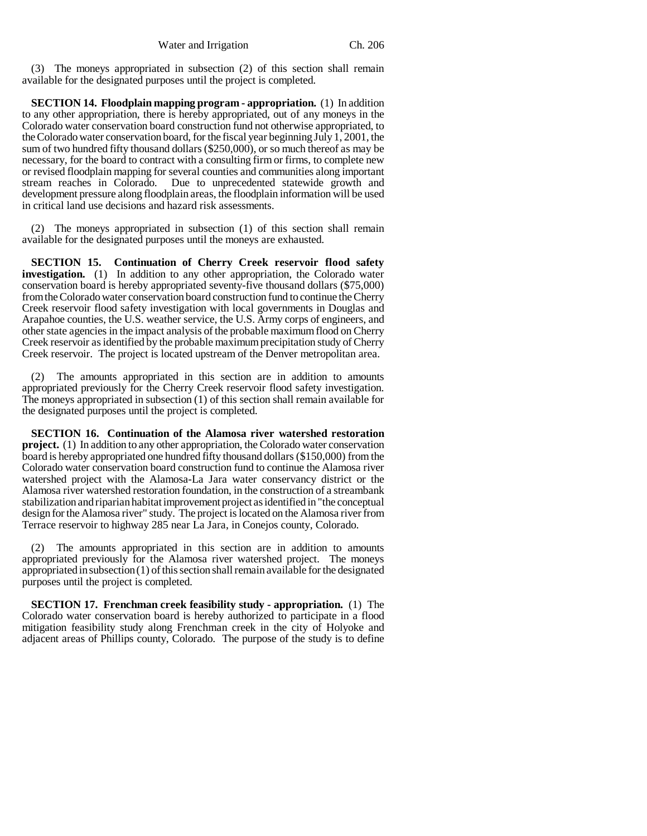(3) The moneys appropriated in subsection (2) of this section shall remain available for the designated purposes until the project is completed.

**SECTION 14. Floodplain mapping program - appropriation.** (1) In addition to any other appropriation, there is hereby appropriated, out of any moneys in the Colorado water conservation board construction fund not otherwise appropriated, to the Colorado water conservation board, for the fiscal year beginning July 1, 2001, the sum of two hundred fifty thousand dollars (\$250,000), or so much thereof as may be necessary, for the board to contract with a consulting firm or firms, to complete new or revised floodplain mapping for several counties and communities along important stream reaches in Colorado. Due to unprecedented statewide growth and development pressure along floodplain areas, the floodplain information will be used in critical land use decisions and hazard risk assessments.

(2) The moneys appropriated in subsection (1) of this section shall remain available for the designated purposes until the moneys are exhausted.

**SECTION 15. Continuation of Cherry Creek reservoir flood safety investigation.** (1) In addition to any other appropriation, the Colorado water conservation board is hereby appropriated seventy-five thousand dollars (\$75,000) from the Colorado water conservation board construction fund to continue the Cherry Creek reservoir flood safety investigation with local governments in Douglas and Arapahoe counties, the U.S. weather service, the U.S. Army corps of engineers, and other state agencies in the impact analysis of the probable maximum flood on Cherry Creek reservoir as identified by the probable maximum precipitation study of Cherry Creek reservoir. The project is located upstream of the Denver metropolitan area.

(2) The amounts appropriated in this section are in addition to amounts appropriated previously for the Cherry Creek reservoir flood safety investigation. The moneys appropriated in subsection (1) of this section shall remain available for the designated purposes until the project is completed.

**SECTION 16. Continuation of the Alamosa river watershed restoration project.** (1) In addition to any other appropriation, the Colorado water conservation board is hereby appropriated one hundred fifty thousand dollars (\$150,000) from the Colorado water conservation board construction fund to continue the Alamosa river watershed project with the Alamosa-La Jara water conservancy district or the Alamosa river watershed restoration foundation, in the construction of a streambank stabilization and riparian habitat improvement project as identified in "the conceptual design for the Alamosa river" study. The project is located on the Alamosa river from Terrace reservoir to highway 285 near La Jara, in Conejos county, Colorado.

(2) The amounts appropriated in this section are in addition to amounts appropriated previously for the Alamosa river watershed project. The moneys appropriated in subsection (1) of this section shall remain available for the designated purposes until the project is completed.

**SECTION 17. Frenchman creek feasibility study - appropriation.** (1) The Colorado water conservation board is hereby authorized to participate in a flood mitigation feasibility study along Frenchman creek in the city of Holyoke and adjacent areas of Phillips county, Colorado. The purpose of the study is to define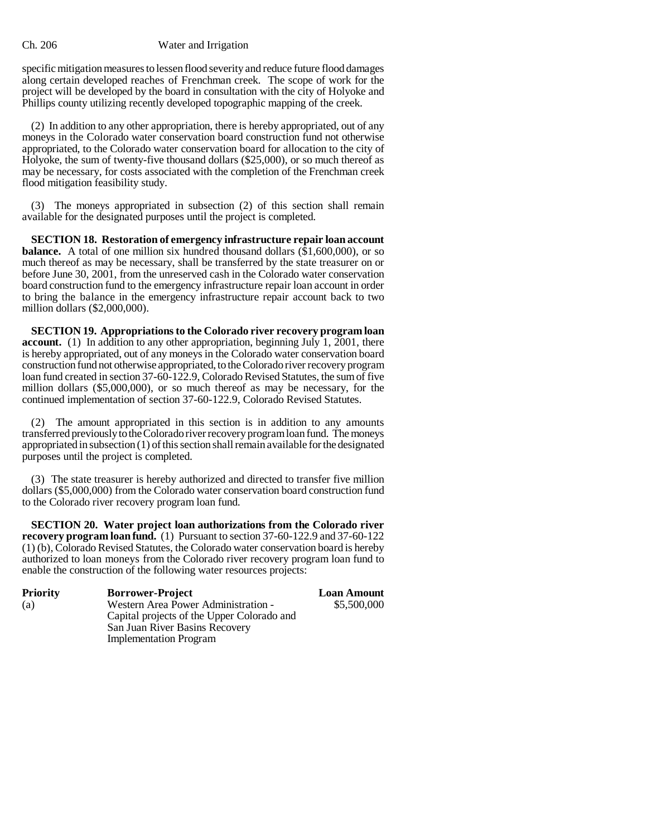specific mitigation measures to lessen flood severity and reduce future flood damages along certain developed reaches of Frenchman creek. The scope of work for the project will be developed by the board in consultation with the city of Holyoke and Phillips county utilizing recently developed topographic mapping of the creek.

(2) In addition to any other appropriation, there is hereby appropriated, out of any moneys in the Colorado water conservation board construction fund not otherwise appropriated, to the Colorado water conservation board for allocation to the city of Holyoke, the sum of twenty-five thousand dollars (\$25,000), or so much thereof as may be necessary, for costs associated with the completion of the Frenchman creek flood mitigation feasibility study.

(3) The moneys appropriated in subsection (2) of this section shall remain available for the designated purposes until the project is completed.

**SECTION 18. Restoration of emergency infrastructure repair loan account balance.** A total of one million six hundred thousand dollars  $(\bar{$}1,600,000)$ , or so much thereof as may be necessary, shall be transferred by the state treasurer on or before June 30, 2001, from the unreserved cash in the Colorado water conservation board construction fund to the emergency infrastructure repair loan account in order to bring the balance in the emergency infrastructure repair account back to two million dollars (\$2,000,000).

**SECTION 19. Appropriations to the Colorado river recovery program loan account.** (1) In addition to any other appropriation, beginning July 1, 2001, there is hereby appropriated, out of any moneys in the Colorado water conservation board construction fund not otherwise appropriated, to the Colorado river recovery program loan fund created in section 37-60-122.9, Colorado Revised Statutes, the sum of five million dollars (\$5,000,000), or so much thereof as may be necessary, for the continued implementation of section 37-60-122.9, Colorado Revised Statutes.

(2) The amount appropriated in this section is in addition to any amounts transferred previously to the Colorado river recovery program loan fund. The moneys appropriated in subsection (1) of this section shall remain available for the designated purposes until the project is completed.

(3) The state treasurer is hereby authorized and directed to transfer five million dollars (\$5,000,000) from the Colorado water conservation board construction fund to the Colorado river recovery program loan fund.

**SECTION 20. Water project loan authorizations from the Colorado river recovery program loan fund.** (1) Pursuant to section 37-60-122.9 and 37-60-122 (1) (b), Colorado Revised Statutes, the Colorado water conservation board is hereby authorized to loan moneys from the Colorado river recovery program loan fund to enable the construction of the following water resources projects:

| <b>Priority</b><br>(a) | <b>Borrower-Project</b><br>Western Area Power Administration -<br>Capital projects of the Upper Colorado and<br>San Juan River Basins Recovery | <b>Loan Amount</b><br>\$5,500,000 |
|------------------------|------------------------------------------------------------------------------------------------------------------------------------------------|-----------------------------------|
|                        | <b>Implementation Program</b>                                                                                                                  |                                   |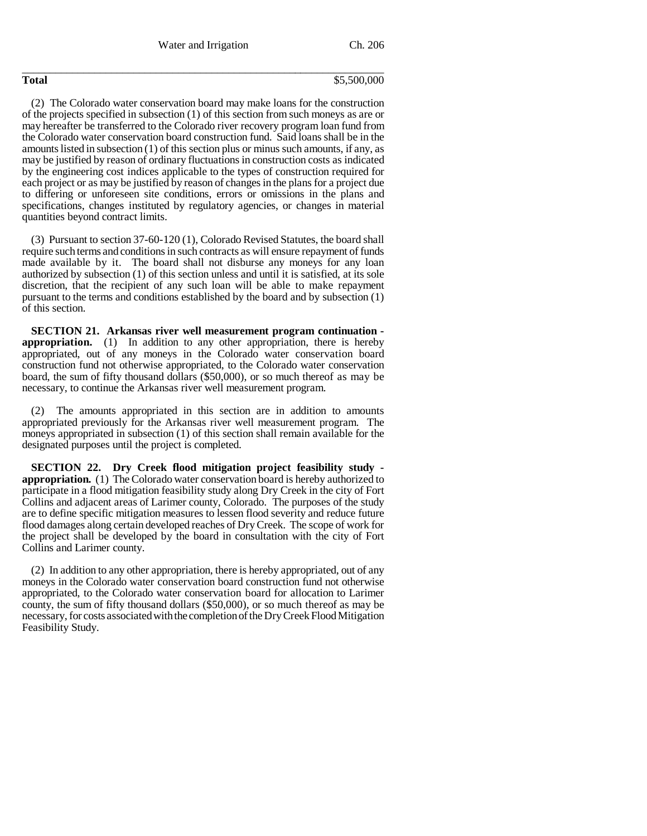Water and Irrigation Ch. 206

\_\_\_\_\_\_\_\_\_\_\_\_\_\_\_\_\_\_\_\_\_\_\_\_\_\_\_\_\_\_\_\_\_\_\_\_\_\_\_\_\_\_\_\_\_\_\_\_\_\_\_\_\_\_\_\_\_\_\_\_\_\_\_\_\_

#### **Total** \$5,500,000

(2) The Colorado water conservation board may make loans for the construction of the projects specified in subsection (1) of this section from such moneys as are or may hereafter be transferred to the Colorado river recovery program loan fund from the Colorado water conservation board construction fund. Said loans shall be in the amounts listed in subsection (1) of this section plus or minus such amounts, if any, as may be justified by reason of ordinary fluctuations in construction costs as indicated by the engineering cost indices applicable to the types of construction required for each project or as may be justified by reason of changes in the plans for a project due to differing or unforeseen site conditions, errors or omissions in the plans and specifications, changes instituted by regulatory agencies, or changes in material quantities beyond contract limits.

(3) Pursuant to section 37-60-120 (1), Colorado Revised Statutes, the board shall require such terms and conditions in such contracts as will ensure repayment of funds made available by it. The board shall not disburse any moneys for any loan authorized by subsection (1) of this section unless and until it is satisfied, at its sole discretion, that the recipient of any such loan will be able to make repayment pursuant to the terms and conditions established by the board and by subsection (1) of this section.

**SECTION 21. Arkansas river well measurement program continuation appropriation.** (1) In addition to any other appropriation, there is hereby appropriated, out of any moneys in the Colorado water conservation board construction fund not otherwise appropriated, to the Colorado water conservation board, the sum of fifty thousand dollars (\$50,000), or so much thereof as may be necessary, to continue the Arkansas river well measurement program.

(2) The amounts appropriated in this section are in addition to amounts appropriated previously for the Arkansas river well measurement program. The moneys appropriated in subsection (1) of this section shall remain available for the designated purposes until the project is completed.

**SECTION 22. Dry Creek flood mitigation project feasibility study appropriation.** (1) The Colorado water conservation board is hereby authorized to participate in a flood mitigation feasibility study along Dry Creek in the city of Fort Collins and adjacent areas of Larimer county, Colorado. The purposes of the study are to define specific mitigation measures to lessen flood severity and reduce future flood damages along certain developed reaches of Dry Creek. The scope of work for the project shall be developed by the board in consultation with the city of Fort Collins and Larimer county.

(2) In addition to any other appropriation, there is hereby appropriated, out of any moneys in the Colorado water conservation board construction fund not otherwise appropriated, to the Colorado water conservation board for allocation to Larimer county, the sum of fifty thousand dollars (\$50,000), or so much thereof as may be necessary, for costs associated with the completion of the Dry Creek Flood Mitigation Feasibility Study.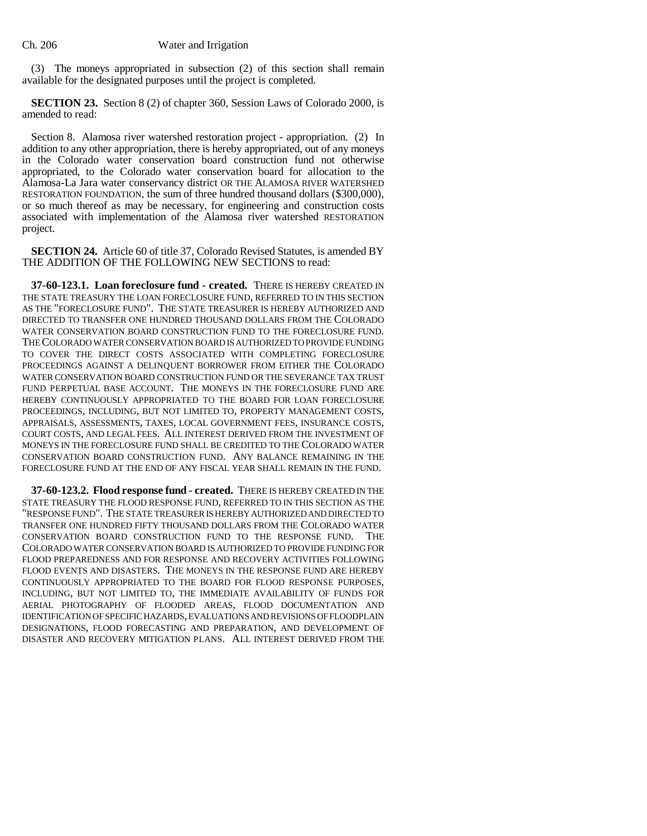(3) The moneys appropriated in subsection (2) of this section shall remain available for the designated purposes until the project is completed.

**SECTION 23.** Section 8 (2) of chapter 360, Session Laws of Colorado 2000, is amended to read:

Section 8. Alamosa river watershed restoration project - appropriation. (2) In addition to any other appropriation, there is hereby appropriated, out of any moneys in the Colorado water conservation board construction fund not otherwise appropriated, to the Colorado water conservation board for allocation to the Alamosa-La Jara water conservancy district OR THE ALAMOSA RIVER WATERSHED RESTORATION FOUNDATION, the sum of three hundred thousand dollars (\$300,000), or so much thereof as may be necessary, for engineering and construction costs associated with implementation of the Alamosa river watershed RESTORATION project.

**SECTION 24.** Article 60 of title 37, Colorado Revised Statutes, is amended BY THE ADDITION OF THE FOLLOWING NEW SECTIONS to read:

**37-60-123.1. Loan foreclosure fund - created.** THERE IS HEREBY CREATED IN THE STATE TREASURY THE LOAN FORECLOSURE FUND, REFERRED TO IN THIS SECTION AS THE "FORECLOSURE FUND". THE STATE TREASURER IS HEREBY AUTHORIZED AND DIRECTED TO TRANSFER ONE HUNDRED THOUSAND DOLLARS FROM THE COLORADO WATER CONSERVATION BOARD CONSTRUCTION FUND TO THE FORECLOSURE FUND. THE COLORADO WATER CONSERVATION BOARD IS AUTHORIZED TO PROVIDE FUNDING TO COVER THE DIRECT COSTS ASSOCIATED WITH COMPLETING FORECLOSURE PROCEEDINGS AGAINST A DELINQUENT BORROWER FROM EITHER THE COLORADO WATER CONSERVATION BOARD CONSTRUCTION FUND OR THE SEVERANCE TAX TRUST FUND PERPETUAL BASE ACCOUNT. THE MONEYS IN THE FORECLOSURE FUND ARE HEREBY CONTINUOUSLY APPROPRIATED TO THE BOARD FOR LOAN FORECLOSURE PROCEEDINGS, INCLUDING, BUT NOT LIMITED TO, PROPERTY MANAGEMENT COSTS, APPRAISALS, ASSESSMENTS, TAXES, LOCAL GOVERNMENT FEES, INSURANCE COSTS, COURT COSTS, AND LEGAL FEES. ALL INTEREST DERIVED FROM THE INVESTMENT OF MONEYS IN THE FORECLOSURE FUND SHALL BE CREDITED TO THE COLORADO WATER CONSERVATION BOARD CONSTRUCTION FUND. ANY BALANCE REMAINING IN THE FORECLOSURE FUND AT THE END OF ANY FISCAL YEAR SHALL REMAIN IN THE FUND.

**37-60-123.2. Flood response fund - created.** THERE IS HEREBY CREATED IN THE STATE TREASURY THE FLOOD RESPONSE FUND, REFERRED TO IN THIS SECTION AS THE "RESPONSE FUND". THE STATE TREASURER IS HEREBY AUTHORIZED AND DIRECTED TO TRANSFER ONE HUNDRED FIFTY THOUSAND DOLLARS FROM THE COLORADO WATER CONSERVATION BOARD CONSTRUCTION FUND TO THE RESPONSE FUND. THE COLORADO WATER CONSERVATION BOARD IS AUTHORIZED TO PROVIDE FUNDING FOR FLOOD PREPAREDNESS AND FOR RESPONSE AND RECOVERY ACTIVITIES FOLLOWING FLOOD EVENTS AND DISASTERS. THE MONEYS IN THE RESPONSE FUND ARE HEREBY CONTINUOUSLY APPROPRIATED TO THE BOARD FOR FLOOD RESPONSE PURPOSES, INCLUDING, BUT NOT LIMITED TO, THE IMMEDIATE AVAILABILITY OF FUNDS FOR AERIAL PHOTOGRAPHY OF FLOODED AREAS, FLOOD DOCUMENTATION AND IDENTIFICATION OF SPECIFIC HAZARDS, EVALUATIONS AND REVISIONS OF FLOODPLAIN DESIGNATIONS, FLOOD FORECASTING AND PREPARATION, AND DEVELOPMENT OF DISASTER AND RECOVERY MITIGATION PLANS. ALL INTEREST DERIVED FROM THE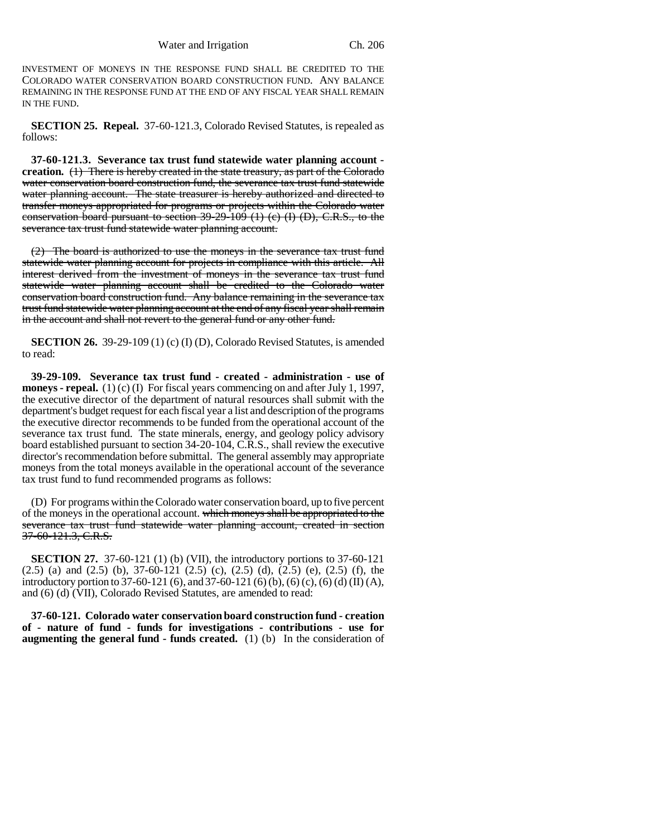INVESTMENT OF MONEYS IN THE RESPONSE FUND SHALL BE CREDITED TO THE COLORADO WATER CONSERVATION BOARD CONSTRUCTION FUND. ANY BALANCE REMAINING IN THE RESPONSE FUND AT THE END OF ANY FISCAL YEAR SHALL REMAIN IN THE FUND.

**SECTION 25. Repeal.** 37-60-121.3, Colorado Revised Statutes, is repealed as follows:

**37-60-121.3. Severance tax trust fund statewide water planning account creation.** (1) There is hereby created in the state treasury, as part of the Colorado water conservation board construction fund, the severance tax trust fund statewide water planning account. The state treasurer is hereby authorized and directed to transfer moneys appropriated for programs or projects within the Colorado water conservation board pursuant to section 39-29-109 (1) (c) (I) (D), C.R.S., to the severance tax trust fund statewide water planning account.

(2) The board is authorized to use the moneys in the severance tax trust fund statewide water planning account for projects in compliance with this article. All interest derived from the investment of moneys in the severance tax trust fund statewide water planning account shall be credited to the Colorado water conservation board construction fund. Any balance remaining in the severance tax trust fund statewide water planning account at the end of any fiscal year shall remain in the account and shall not revert to the general fund or any other fund.

**SECTION 26.** 39-29-109 (1) (c) (I) (D), Colorado Revised Statutes, is amended to read:

**39-29-109. Severance tax trust fund - created - administration - use of moneys - repeal.** (1) (c) (I) For fiscal years commencing on and after July 1, 1997, the executive director of the department of natural resources shall submit with the department's budget request for each fiscal year a list and description of the programs the executive director recommends to be funded from the operational account of the severance tax trust fund. The state minerals, energy, and geology policy advisory board established pursuant to section 34-20-104, C.R.S., shall review the executive director's recommendation before submittal. The general assembly may appropriate moneys from the total moneys available in the operational account of the severance tax trust fund to fund recommended programs as follows:

(D) For programs within the Colorado water conservation board, up to five percent of the moneys in the operational account. which moneys shall be appropriated to the severance tax trust fund statewide water planning account, created in section 37-60-121.3, C.R.S.

**SECTION 27.** 37-60-121 (1) (b) (VII), the introductory portions to 37-60-121  $(2.5)$  (a) and  $(2.5)$  (b),  $37-60-121$   $(2.5)$  (c),  $(2.5)$  (d),  $(2.5)$  (e),  $(2.5)$  (f), the introductory portion to 37-60-121 (6), and 37-60-121 (6) (b), (6) (c), (6) (d) (II) (A), and (6) (d) (VII), Colorado Revised Statutes, are amended to read:

**37-60-121. Colorado water conservation board construction fund - creation of - nature of fund - funds for investigations - contributions - use for augmenting the general fund - funds created.** (1) (b) In the consideration of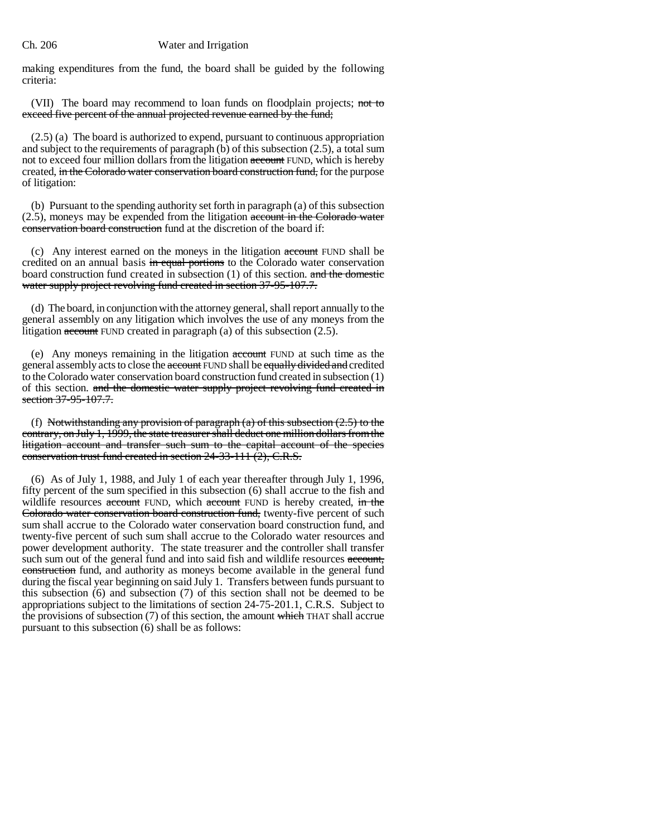making expenditures from the fund, the board shall be guided by the following criteria:

(VII) The board may recommend to loan funds on floodplain projects; not to exceed five percent of the annual projected revenue earned by the fund;

(2.5) (a) The board is authorized to expend, pursuant to continuous appropriation and subject to the requirements of paragraph (b) of this subsection (2.5), a total sum not to exceed four million dollars from the litigation account FUND, which is hereby created, in the Colorado water conservation board construction fund, for the purpose of litigation:

(b) Pursuant to the spending authority set forth in paragraph (a) of this subsection (2.5), moneys may be expended from the litigation account in the Colorado water conservation board construction fund at the discretion of the board if:

(c) Any interest earned on the moneys in the litigation account FUND shall be credited on an annual basis in equal portions to the Colorado water conservation board construction fund created in subsection (1) of this section. and the domestic water supply project revolving fund created in section 37-95-107.7.

(d) The board, in conjunction with the attorney general, shall report annually to the general assembly on any litigation which involves the use of any moneys from the litigation  $\alpha$  account FUND created in paragraph (a) of this subsection (2.5).

(e) Any moneys remaining in the litigation account FUND at such time as the general assembly acts to close the account FUND shall be equally divided and credited to the Colorado water conservation board construction fund created in subsection (1) of this section. and the domestic water supply project revolving fund created in section 37-95-107.7.

(f) Notwithstanding any provision of paragraph (a) of this subsection  $(2.5)$  to the contrary, on July 1, 1999, the state treasurer shall deduct one million dollars from the litigation account and transfer such sum to the capital account of the species conservation trust fund created in section 24-33-111 (2), C.R.S.

(6) As of July 1, 1988, and July 1 of each year thereafter through July 1, 1996, fifty percent of the sum specified in this subsection (6) shall accrue to the fish and wildlife resources account FUND, which account FUND is hereby created, in the Colorado water conservation board construction fund, twenty-five percent of such sum shall accrue to the Colorado water conservation board construction fund, and twenty-five percent of such sum shall accrue to the Colorado water resources and power development authority. The state treasurer and the controller shall transfer such sum out of the general fund and into said fish and wildlife resources account, construction fund, and authority as moneys become available in the general fund during the fiscal year beginning on said July 1. Transfers between funds pursuant to this subsection (6) and subsection (7) of this section shall not be deemed to be appropriations subject to the limitations of section 24-75-201.1, C.R.S. Subject to the provisions of subsection (7) of this section, the amount which THAT shall accrue pursuant to this subsection (6) shall be as follows: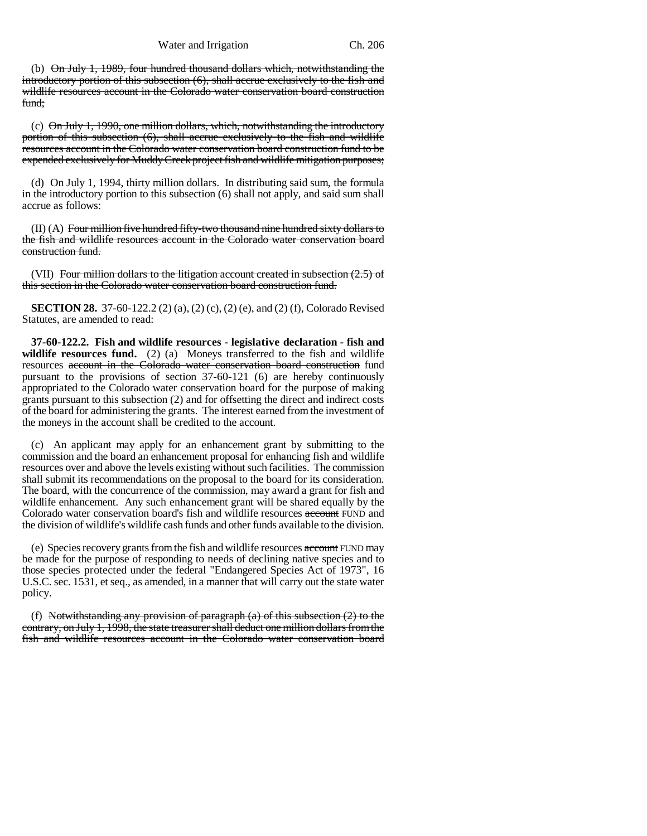(b) On July 1, 1989, four hundred thousand dollars which, notwithstanding the introductory portion of this subsection (6), shall accrue exclusively to the fish and wildlife resources account in the Colorado water conservation board construction fund;

(c)  $\Theta$ n July 1, 1990, one million dollars, which, notwithstanding the introductory portion of this subsection (6), shall accrue exclusively to the fish and wildlife resources account in the Colorado water conservation board construction fund to be expended exclusively for Muddy Creek project fish and wildlife mitigation purposes;

(d) On July 1, 1994, thirty million dollars. In distributing said sum, the formula in the introductory portion to this subsection (6) shall not apply, and said sum shall accrue as follows:

 $(II)$  (A) Four million five hundred fifty-two thousand nine hundred sixty dollars to the fish and wildlife resources account in the Colorado water conservation board construction fund.

(VII) Four million dollars to the litigation account created in subsection  $(2.5)$  of this section in the Colorado water conservation board construction fund.

**SECTION 28.** 37-60-122.2 (2) (a), (2) (c), (2) (e), and (2) (f), Colorado Revised Statutes, are amended to read:

**37-60-122.2. Fish and wildlife resources - legislative declaration - fish and** wildlife resources fund. (2) (a) Moneys transferred to the fish and wildlife resources account in the Colorado water conservation board construction fund pursuant to the provisions of section 37-60-121 (6) are hereby continuously appropriated to the Colorado water conservation board for the purpose of making grants pursuant to this subsection (2) and for offsetting the direct and indirect costs of the board for administering the grants. The interest earned from the investment of the moneys in the account shall be credited to the account.

(c) An applicant may apply for an enhancement grant by submitting to the commission and the board an enhancement proposal for enhancing fish and wildlife resources over and above the levels existing without such facilities. The commission shall submit its recommendations on the proposal to the board for its consideration. The board, with the concurrence of the commission, may award a grant for fish and wildlife enhancement. Any such enhancement grant will be shared equally by the Colorado water conservation board's fish and wildlife resources account FUND and the division of wildlife's wildlife cash funds and other funds available to the division.

(e) Species recovery grants from the fish and wildlife resources account FUND may be made for the purpose of responding to needs of declining native species and to those species protected under the federal "Endangered Species Act of 1973", 16 U.S.C. sec. 1531, et seq., as amended, in a manner that will carry out the state water policy.

(f) Notwithstanding any provision of paragraph  $(a)$  of this subsection  $(2)$  to the contrary, on July 1, 1998, the state treasurer shall deduct one million dollars from the fish and wildlife resources account in the Colorado water conservation board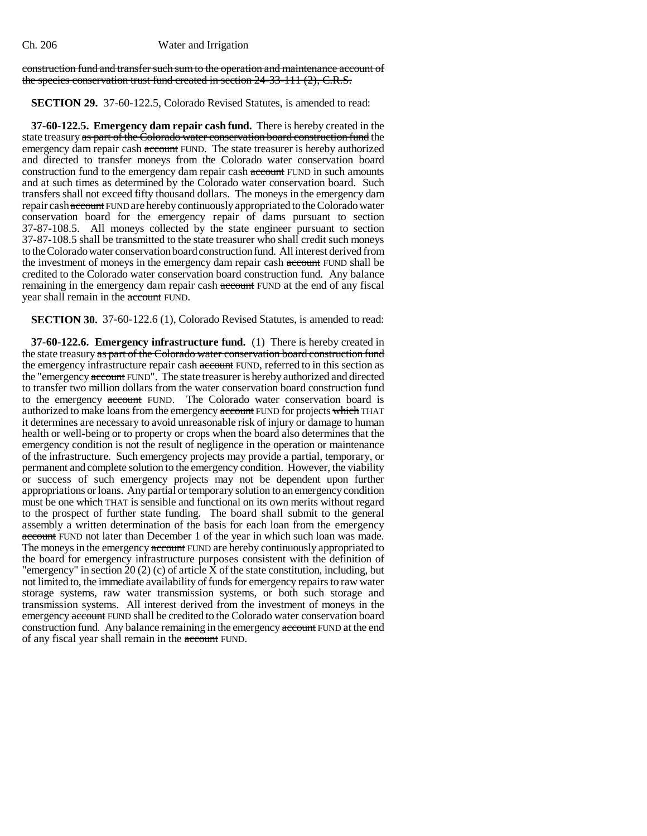#### construction fund and transfer such sum to the operation and maintenance account of the species conservation trust fund created in section 24-33-111 (2), C.R.S.

### **SECTION 29.** 37-60-122.5, Colorado Revised Statutes, is amended to read:

**37-60-122.5. Emergency dam repair cash fund.** There is hereby created in the state treasury as part of the Colorado water conservation board construction fund the emergency dam repair cash account FUND. The state treasurer is hereby authorized and directed to transfer moneys from the Colorado water conservation board construction fund to the emergency dam repair cash account FUND in such amounts and at such times as determined by the Colorado water conservation board. Such transfers shall not exceed fifty thousand dollars. The moneys in the emergency dam repair cash account FUND are hereby continuously appropriated to the Colorado water conservation board for the emergency repair of dams pursuant to section 37-87-108.5. All moneys collected by the state engineer pursuant to section 37-87-108.5 shall be transmitted to the state treasurer who shall credit such moneys to the Colorado water conservation board construction fund. All interest derived from the investment of moneys in the emergency dam repair cash account FUND shall be credited to the Colorado water conservation board construction fund. Any balance remaining in the emergency dam repair cash account FUND at the end of any fiscal year shall remain in the account FUND.

**SECTION 30.** 37-60-122.6 (1), Colorado Revised Statutes, is amended to read:

**37-60-122.6. Emergency infrastructure fund.** (1) There is hereby created in the state treasury as part of the Colorado water conservation board construction fund the emergency infrastructure repair cash account FUND, referred to in this section as the "emergency account FUND". The state treasurer is hereby authorized and directed to transfer two million dollars from the water conservation board construction fund to the emergency account FUND. The Colorado water conservation board is authorized to make loans from the emergency account FUND for projects which THAT it determines are necessary to avoid unreasonable risk of injury or damage to human health or well-being or to property or crops when the board also determines that the emergency condition is not the result of negligence in the operation or maintenance of the infrastructure. Such emergency projects may provide a partial, temporary, or permanent and complete solution to the emergency condition. However, the viability or success of such emergency projects may not be dependent upon further appropriations or loans. Any partial or temporary solution to an emergency condition must be one which THAT is sensible and functional on its own merits without regard to the prospect of further state funding. The board shall submit to the general assembly a written determination of the basis for each loan from the emergency account FUND not later than December 1 of the year in which such loan was made. The moneys in the emergency account FUND are hereby continuously appropriated to the board for emergency infrastructure purposes consistent with the definition of "emergency" in section 20 (2) (c) of article X of the state constitution, including, but not limited to, the immediate availability of funds for emergency repairs to raw water storage systems, raw water transmission systems, or both such storage and transmission systems. All interest derived from the investment of moneys in the emergency account FUND shall be credited to the Colorado water conservation board construction fund. Any balance remaining in the emergency **account** FUND at the end of any fiscal year shall remain in the account FUND.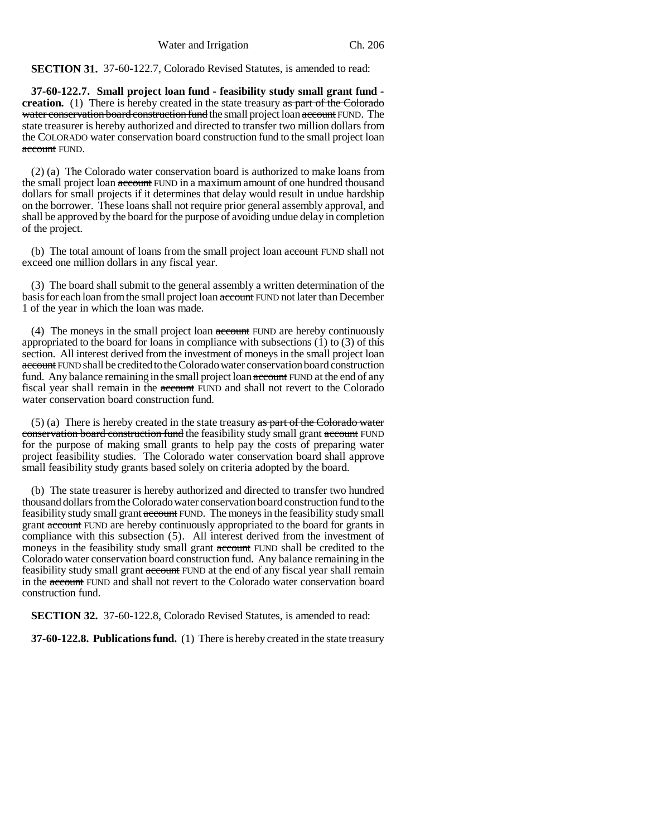**SECTION 31.** 37-60-122.7, Colorado Revised Statutes, is amended to read:

**37-60-122.7. Small project loan fund - feasibility study small grant fund creation.** (1) There is hereby created in the state treasury as part of the Colorado water conservation board construction fund the small project loan account FUND. The state treasurer is hereby authorized and directed to transfer two million dollars from the COLORADO water conservation board construction fund to the small project loan account FUND.

(2) (a) The Colorado water conservation board is authorized to make loans from the small project loan account FUND in a maximum amount of one hundred thousand dollars for small projects if it determines that delay would result in undue hardship on the borrower. These loans shall not require prior general assembly approval, and shall be approved by the board for the purpose of avoiding undue delay in completion of the project.

(b) The total amount of loans from the small project loan account FUND shall not exceed one million dollars in any fiscal year.

(3) The board shall submit to the general assembly a written determination of the basis for each loan from the small project loan account FUND not later than December 1 of the year in which the loan was made.

(4) The moneys in the small project loan account FUND are hereby continuously appropriated to the board for loans in compliance with subsections (1) to (3) of this section. All interest derived from the investment of moneys in the small project loan account FUND shall be credited to the Colorado water conservation board construction fund. Any balance remaining in the small project loan account FUND at the end of any fiscal year shall remain in the account FUND and shall not revert to the Colorado water conservation board construction fund.

(5) (a) There is hereby created in the state treasury  $\frac{1}{x}$  as part of the Colorado water conservation board construction fund the feasibility study small grant account FUND for the purpose of making small grants to help pay the costs of preparing water project feasibility studies. The Colorado water conservation board shall approve small feasibility study grants based solely on criteria adopted by the board.

(b) The state treasurer is hereby authorized and directed to transfer two hundred thousand dollars from the Colorado water conservation board construction fund to the feasibility study small grant account FUND. The moneys in the feasibility study small grant account FUND are hereby continuously appropriated to the board for grants in compliance with this subsection (5). All interest derived from the investment of moneys in the feasibility study small grant account FUND shall be credited to the Colorado water conservation board construction fund. Any balance remaining in the feasibility study small grant account FUND at the end of any fiscal year shall remain in the account FUND and shall not revert to the Colorado water conservation board construction fund.

**SECTION 32.** 37-60-122.8, Colorado Revised Statutes, is amended to read:

**37-60-122.8. Publications fund.** (1) There is hereby created in the state treasury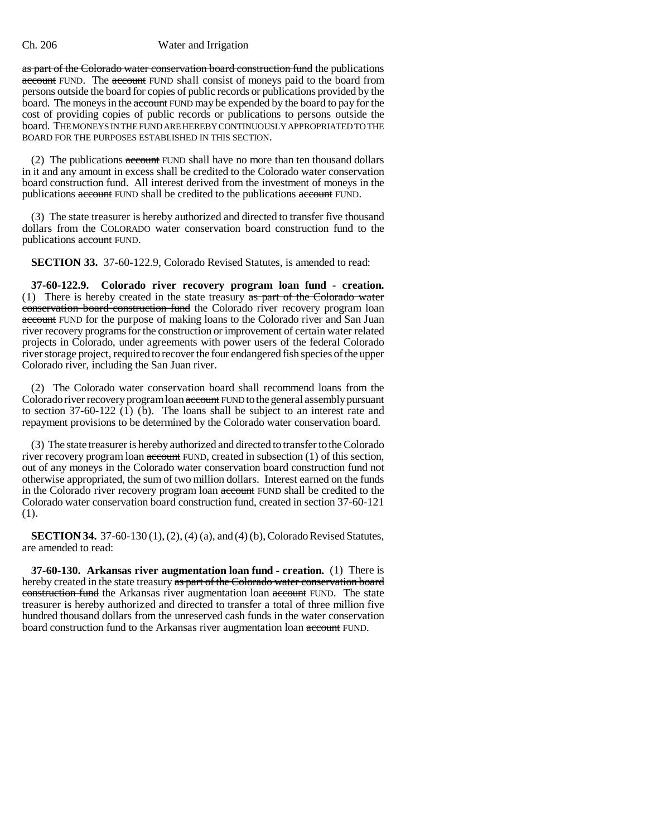as part of the Colorado water conservation board construction fund the publications account FUND. The account FUND shall consist of moneys paid to the board from persons outside the board for copies of public records or publications provided by the board. The moneys in the account FUND may be expended by the board to pay for the cost of providing copies of public records or publications to persons outside the board. THE MONEYS IN THE FUND ARE HEREBY CONTINUOUSLY APPROPRIATED TO THE BOARD FOR THE PURPOSES ESTABLISHED IN THIS SECTION.

(2) The publications  $\alpha$  account FUND shall have no more than ten thousand dollars in it and any amount in excess shall be credited to the Colorado water conservation board construction fund. All interest derived from the investment of moneys in the publications account FUND shall be credited to the publications account FUND.

(3) The state treasurer is hereby authorized and directed to transfer five thousand dollars from the COLORADO water conservation board construction fund to the publications account FUND.

**SECTION 33.** 37-60-122.9, Colorado Revised Statutes, is amended to read:

**37-60-122.9. Colorado river recovery program loan fund - creation.** (1) There is hereby created in the state treasury  $\frac{1}{x}$  as part of the Colorado water conservation board construction fund the Colorado river recovery program loan account FUND for the purpose of making loans to the Colorado river and San Juan river recovery programs for the construction or improvement of certain water related projects in Colorado, under agreements with power users of the federal Colorado river storage project, required to recover the four endangered fish species of the upper Colorado river, including the San Juan river.

(2) The Colorado water conservation board shall recommend loans from the Colorado river recovery program loan account FUND to the general assembly pursuant to section 37-60-122 (1) (b). The loans shall be subject to an interest rate and repayment provisions to be determined by the Colorado water conservation board.

(3) The state treasurer is hereby authorized and directed to transfer to the Colorado river recovery program loan account FUND, created in subsection (1) of this section, out of any moneys in the Colorado water conservation board construction fund not otherwise appropriated, the sum of two million dollars. Interest earned on the funds in the Colorado river recovery program loan account FUND shall be credited to the Colorado water conservation board construction fund, created in section 37-60-121 (1).

**SECTION 34.** 37-60-130 (1), (2), (4) (a), and (4) (b), Colorado Revised Statutes, are amended to read:

**37-60-130. Arkansas river augmentation loan fund - creation.** (1) There is hereby created in the state treasury as part of the Colorado water conservation board construction fund the Arkansas river augmentation loan account FUND. The state treasurer is hereby authorized and directed to transfer a total of three million five hundred thousand dollars from the unreserved cash funds in the water conservation board construction fund to the Arkansas river augmentation loan account FUND.